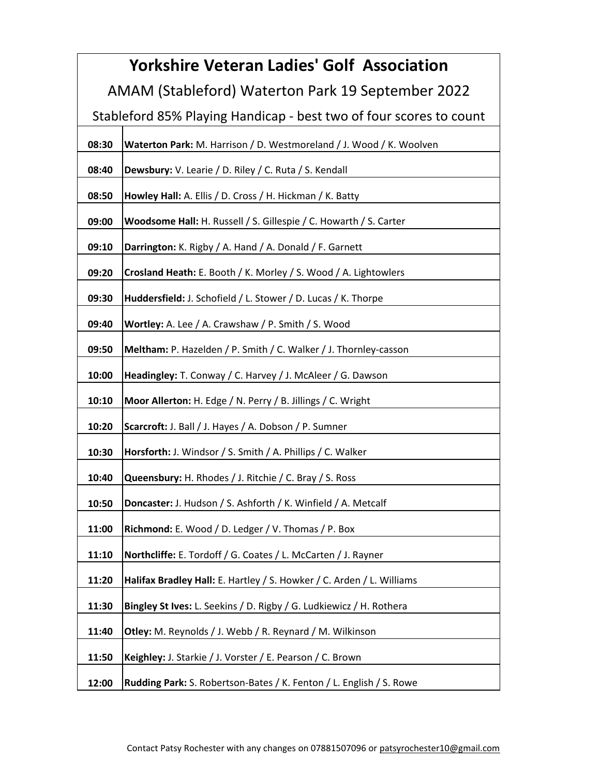| <b>Yorkshire Veteran Ladies' Golf Association</b>                  |                                                                       |  |
|--------------------------------------------------------------------|-----------------------------------------------------------------------|--|
| AMAM (Stableford) Waterton Park 19 September 2022                  |                                                                       |  |
| Stableford 85% Playing Handicap - best two of four scores to count |                                                                       |  |
| 08:30                                                              | Waterton Park: M. Harrison / D. Westmoreland / J. Wood / K. Woolven   |  |
| 08:40                                                              | Dewsbury: V. Learie / D. Riley / C. Ruta / S. Kendall                 |  |
| 08:50                                                              | Howley Hall: A. Ellis / D. Cross / H. Hickman / K. Batty              |  |
| 09:00                                                              | Woodsome Hall: H. Russell / S. Gillespie / C. Howarth / S. Carter     |  |
| 09:10                                                              | Darrington: K. Rigby / A. Hand / A. Donald / F. Garnett               |  |
| 09:20                                                              | Crosland Heath: E. Booth / K. Morley / S. Wood / A. Lightowlers       |  |
| 09:30                                                              | Huddersfield: J. Schofield / L. Stower / D. Lucas / K. Thorpe         |  |
| 09:40                                                              | Wortley: A. Lee / A. Crawshaw / P. Smith / S. Wood                    |  |
| 09:50                                                              | Meltham: P. Hazelden / P. Smith / C. Walker / J. Thornley-casson      |  |
| 10:00                                                              | Headingley: T. Conway / C. Harvey / J. McAleer / G. Dawson            |  |
| 10:10                                                              | Moor Allerton: H. Edge / N. Perry / B. Jillings / C. Wright           |  |
| 10:20                                                              | Scarcroft: J. Ball / J. Hayes / A. Dobson / P. Sumner                 |  |
| 10:30                                                              | Horsforth: J. Windsor / S. Smith / A. Phillips / C. Walker            |  |
| 10:40                                                              | Queensbury: H. Rhodes / J. Ritchie / C. Bray / S. Ross                |  |
| 10:50                                                              | Doncaster: J. Hudson / S. Ashforth / K. Winfield / A. Metcalf         |  |
| 11:00                                                              | Richmond: E. Wood / D. Ledger / V. Thomas / P. Box                    |  |
| 11:10                                                              | Northcliffe: E. Tordoff / G. Coates / L. McCarten / J. Rayner         |  |
| 11:20                                                              | Halifax Bradley Hall: E. Hartley / S. Howker / C. Arden / L. Williams |  |
| 11:30                                                              | Bingley St Ives: L. Seekins / D. Rigby / G. Ludkiewicz / H. Rothera   |  |
| 11:40                                                              | Otley: M. Reynolds / J. Webb / R. Reynard / M. Wilkinson              |  |
| 11:50                                                              | Keighley: J. Starkie / J. Vorster / E. Pearson / C. Brown             |  |
| 12:00                                                              | Rudding Park: S. Robertson-Bates / K. Fenton / L. English / S. Rowe   |  |